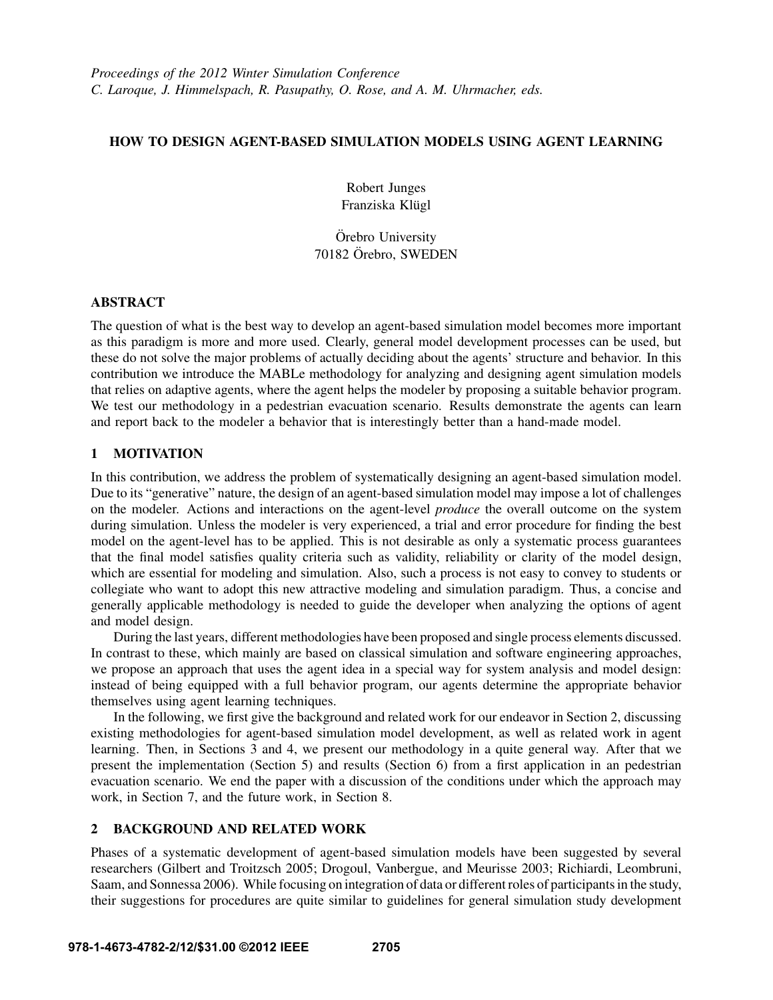# HOW TO DESIGN AGENT-BASED SIMULATION MODELS USING AGENT LEARNING

Robert Junges Franziska Klügl

Örebro University 70182 Orebro, SWEDEN ¨

# ABSTRACT

The question of what is the best way to develop an agent-based simulation model becomes more important as this paradigm is more and more used. Clearly, general model development processes can be used, but these do not solve the major problems of actually deciding about the agents' structure and behavior. In this contribution we introduce the MABLe methodology for analyzing and designing agent simulation models that relies on adaptive agents, where the agent helps the modeler by proposing a suitable behavior program. We test our methodology in a pedestrian evacuation scenario. Results demonstrate the agents can learn and report back to the modeler a behavior that is interestingly better than a hand-made model.

# 1 MOTIVATION

In this contribution, we address the problem of systematically designing an agent-based simulation model. Due to its "generative" nature, the design of an agent-based simulation model may impose a lot of challenges on the modeler. Actions and interactions on the agent-level *produce* the overall outcome on the system during simulation. Unless the modeler is very experienced, a trial and error procedure for finding the best model on the agent-level has to be applied. This is not desirable as only a systematic process guarantees that the final model satisfies quality criteria such as validity, reliability or clarity of the model design, which are essential for modeling and simulation. Also, such a process is not easy to convey to students or collegiate who want to adopt this new attractive modeling and simulation paradigm. Thus, a concise and generally applicable methodology is needed to guide the developer when analyzing the options of agent and model design.

During the last years, different methodologies have been proposed and single process elements discussed. In contrast to these, which mainly are based on classical simulation and software engineering approaches, we propose an approach that uses the agent idea in a special way for system analysis and model design: instead of being equipped with a full behavior program, our agents determine the appropriate behavior themselves using agent learning techniques.

In the following, we first give the background and related work for our endeavor in Section 2, discussing existing methodologies for agent-based simulation model development, as well as related work in agent learning. Then, in Sections 3 and 4, we present our methodology in a quite general way. After that we present the implementation (Section 5) and results (Section 6) from a first application in an pedestrian evacuation scenario. We end the paper with a discussion of the conditions under which the approach may work, in Section 7, and the future work, in Section 8.

# 2 BACKGROUND AND RELATED WORK

Phases of a systematic development of agent-based simulation models have been suggested by several researchers (Gilbert and Troitzsch 2005; Drogoul, Vanbergue, and Meurisse 2003; Richiardi, Leombruni, Saam, and Sonnessa 2006). While focusing on integration of data or different roles of participants in the study, their suggestions for procedures are quite similar to guidelines for general simulation study development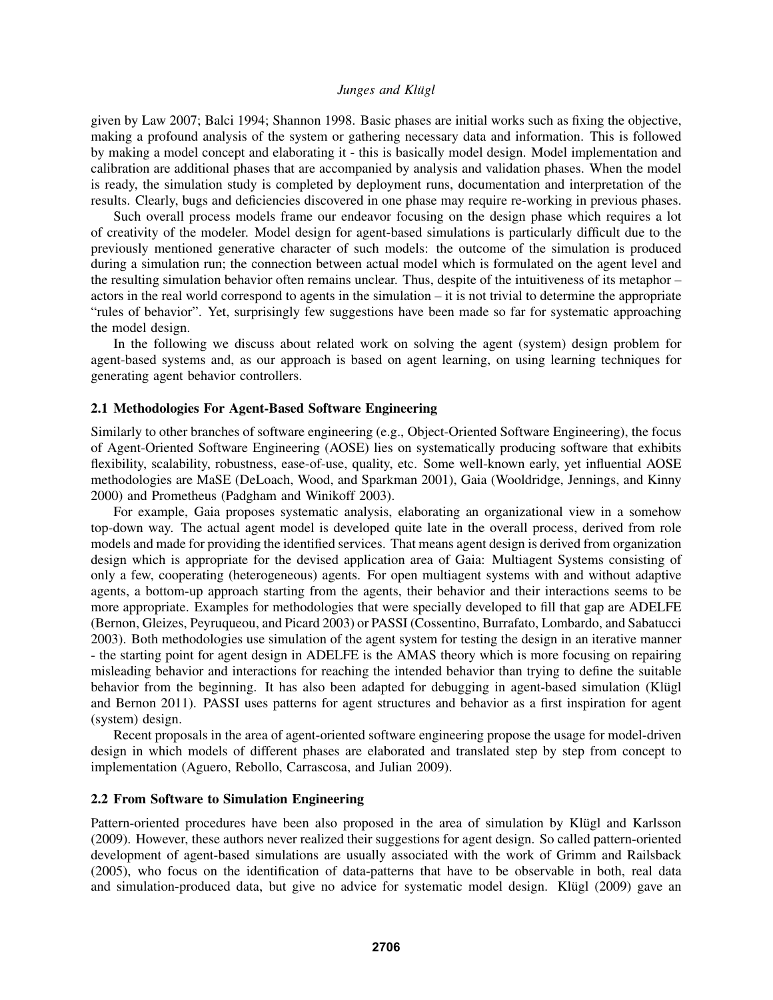given by Law 2007; Balci 1994; Shannon 1998. Basic phases are initial works such as fixing the objective, making a profound analysis of the system or gathering necessary data and information. This is followed by making a model concept and elaborating it - this is basically model design. Model implementation and calibration are additional phases that are accompanied by analysis and validation phases. When the model is ready, the simulation study is completed by deployment runs, documentation and interpretation of the results. Clearly, bugs and deficiencies discovered in one phase may require re-working in previous phases.

Such overall process models frame our endeavor focusing on the design phase which requires a lot of creativity of the modeler. Model design for agent-based simulations is particularly difficult due to the previously mentioned generative character of such models: the outcome of the simulation is produced during a simulation run; the connection between actual model which is formulated on the agent level and the resulting simulation behavior often remains unclear. Thus, despite of the intuitiveness of its metaphor – actors in the real world correspond to agents in the simulation – it is not trivial to determine the appropriate "rules of behavior". Yet, surprisingly few suggestions have been made so far for systematic approaching the model design.

In the following we discuss about related work on solving the agent (system) design problem for agent-based systems and, as our approach is based on agent learning, on using learning techniques for generating agent behavior controllers.

### 2.1 Methodologies For Agent-Based Software Engineering

Similarly to other branches of software engineering (e.g., Object-Oriented Software Engineering), the focus of Agent-Oriented Software Engineering (AOSE) lies on systematically producing software that exhibits flexibility, scalability, robustness, ease-of-use, quality, etc. Some well-known early, yet influential AOSE methodologies are MaSE (DeLoach, Wood, and Sparkman 2001), Gaia (Wooldridge, Jennings, and Kinny 2000) and Prometheus (Padgham and Winikoff 2003).

For example, Gaia proposes systematic analysis, elaborating an organizational view in a somehow top-down way. The actual agent model is developed quite late in the overall process, derived from role models and made for providing the identified services. That means agent design is derived from organization design which is appropriate for the devised application area of Gaia: Multiagent Systems consisting of only a few, cooperating (heterogeneous) agents. For open multiagent systems with and without adaptive agents, a bottom-up approach starting from the agents, their behavior and their interactions seems to be more appropriate. Examples for methodologies that were specially developed to fill that gap are ADELFE (Bernon, Gleizes, Peyruqueou, and Picard 2003) or PASSI (Cossentino, Burrafato, Lombardo, and Sabatucci 2003). Both methodologies use simulation of the agent system for testing the design in an iterative manner - the starting point for agent design in ADELFE is the AMAS theory which is more focusing on repairing misleading behavior and interactions for reaching the intended behavior than trying to define the suitable behavior from the beginning. It has also been adapted for debugging in agent-based simulation (Klügl and Bernon 2011). PASSI uses patterns for agent structures and behavior as a first inspiration for agent (system) design.

Recent proposals in the area of agent-oriented software engineering propose the usage for model-driven design in which models of different phases are elaborated and translated step by step from concept to implementation (Aguero, Rebollo, Carrascosa, and Julian 2009).

### 2.2 From Software to Simulation Engineering

Pattern-oriented procedures have been also proposed in the area of simulation by Klügl and Karlsson (2009). However, these authors never realized their suggestions for agent design. So called pattern-oriented development of agent-based simulations are usually associated with the work of Grimm and Railsback (2005), who focus on the identification of data-patterns that have to be observable in both, real data and simulation-produced data, but give no advice for systematic model design. Klügl (2009) gave an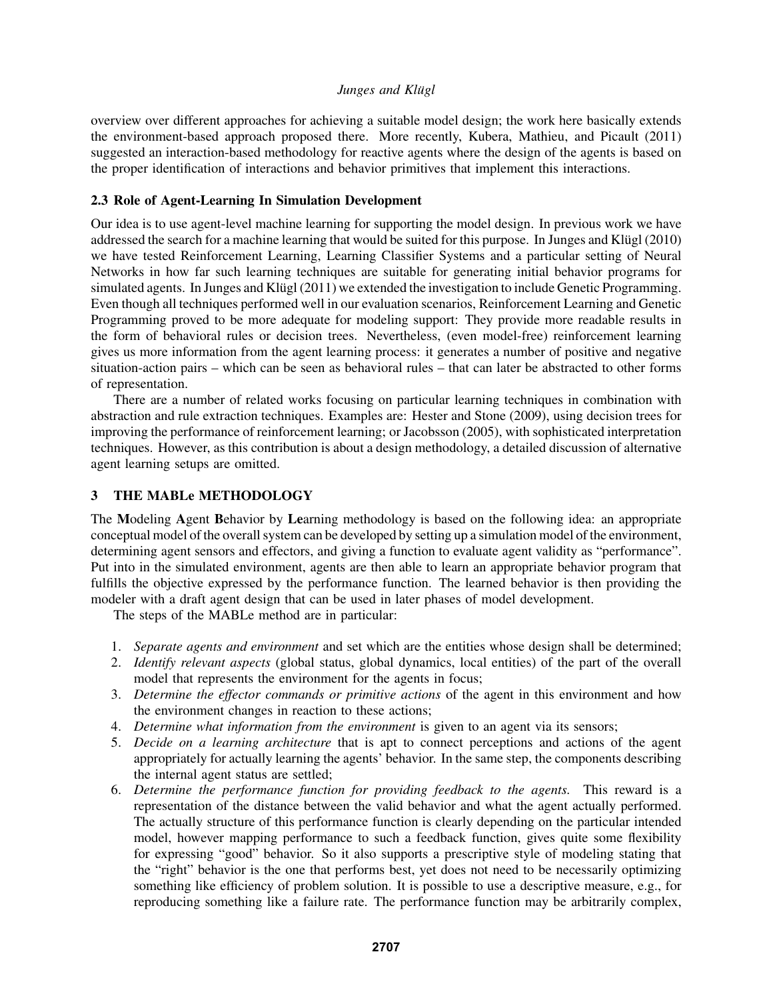overview over different approaches for achieving a suitable model design; the work here basically extends the environment-based approach proposed there. More recently, Kubera, Mathieu, and Picault (2011) suggested an interaction-based methodology for reactive agents where the design of the agents is based on the proper identification of interactions and behavior primitives that implement this interactions.

### 2.3 Role of Agent-Learning In Simulation Development

Our idea is to use agent-level machine learning for supporting the model design. In previous work we have addressed the search for a machine learning that would be suited for this purpose. In Junges and Klugl (2010) we have tested Reinforcement Learning, Learning Classifier Systems and a particular setting of Neural Networks in how far such learning techniques are suitable for generating initial behavior programs for simulated agents. In Junges and Klügl (2011) we extended the investigation to include Genetic Programming. Even though all techniques performed well in our evaluation scenarios, Reinforcement Learning and Genetic Programming proved to be more adequate for modeling support: They provide more readable results in the form of behavioral rules or decision trees. Nevertheless, (even model-free) reinforcement learning gives us more information from the agent learning process: it generates a number of positive and negative situation-action pairs – which can be seen as behavioral rules – that can later be abstracted to other forms of representation.

There are a number of related works focusing on particular learning techniques in combination with abstraction and rule extraction techniques. Examples are: Hester and Stone (2009), using decision trees for improving the performance of reinforcement learning; or Jacobsson (2005), with sophisticated interpretation techniques. However, as this contribution is about a design methodology, a detailed discussion of alternative agent learning setups are omitted.

# 3 THE MABLe METHODOLOGY

The Modeling Agent Behavior by Learning methodology is based on the following idea: an appropriate conceptual model of the overall system can be developed by setting up a simulation model of the environment, determining agent sensors and effectors, and giving a function to evaluate agent validity as "performance". Put into in the simulated environment, agents are then able to learn an appropriate behavior program that fulfills the objective expressed by the performance function. The learned behavior is then providing the modeler with a draft agent design that can be used in later phases of model development.

The steps of the MABLe method are in particular:

- 1. *Separate agents and environment* and set which are the entities whose design shall be determined;
- 2. *Identify relevant aspects* (global status, global dynamics, local entities) of the part of the overall model that represents the environment for the agents in focus;
- 3. *Determine the effector commands or primitive actions* of the agent in this environment and how the environment changes in reaction to these actions;
- 4. *Determine what information from the environment* is given to an agent via its sensors;
- 5. *Decide on a learning architecture* that is apt to connect perceptions and actions of the agent appropriately for actually learning the agents' behavior. In the same step, the components describing the internal agent status are settled;
- 6. *Determine the performance function for providing feedback to the agents.* This reward is a representation of the distance between the valid behavior and what the agent actually performed. The actually structure of this performance function is clearly depending on the particular intended model, however mapping performance to such a feedback function, gives quite some flexibility for expressing "good" behavior. So it also supports a prescriptive style of modeling stating that the "right" behavior is the one that performs best, yet does not need to be necessarily optimizing something like efficiency of problem solution. It is possible to use a descriptive measure, e.g., for reproducing something like a failure rate. The performance function may be arbitrarily complex,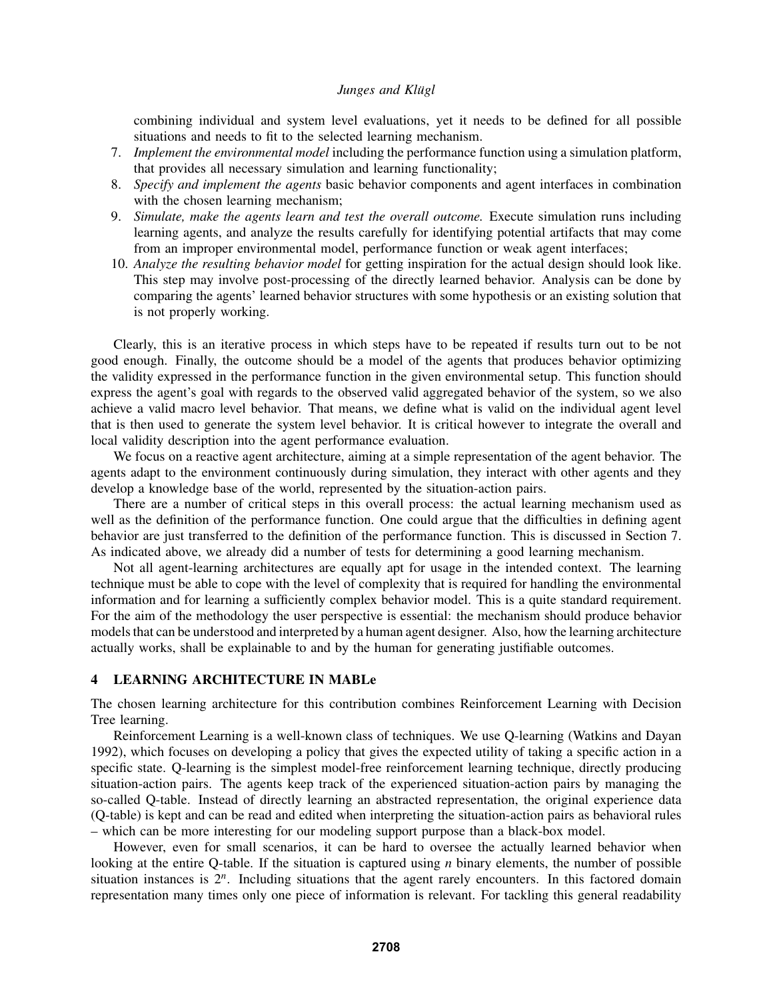combining individual and system level evaluations, yet it needs to be defined for all possible situations and needs to fit to the selected learning mechanism.

- 7. *Implement the environmental model* including the performance function using a simulation platform, that provides all necessary simulation and learning functionality;
- 8. *Specify and implement the agents* basic behavior components and agent interfaces in combination with the chosen learning mechanism;
- 9. *Simulate, make the agents learn and test the overall outcome.* Execute simulation runs including learning agents, and analyze the results carefully for identifying potential artifacts that may come from an improper environmental model, performance function or weak agent interfaces;
- 10. *Analyze the resulting behavior model* for getting inspiration for the actual design should look like. This step may involve post-processing of the directly learned behavior. Analysis can be done by comparing the agents' learned behavior structures with some hypothesis or an existing solution that is not properly working.

Clearly, this is an iterative process in which steps have to be repeated if results turn out to be not good enough. Finally, the outcome should be a model of the agents that produces behavior optimizing the validity expressed in the performance function in the given environmental setup. This function should express the agent's goal with regards to the observed valid aggregated behavior of the system, so we also achieve a valid macro level behavior. That means, we define what is valid on the individual agent level that is then used to generate the system level behavior. It is critical however to integrate the overall and local validity description into the agent performance evaluation.

We focus on a reactive agent architecture, aiming at a simple representation of the agent behavior. The agents adapt to the environment continuously during simulation, they interact with other agents and they develop a knowledge base of the world, represented by the situation-action pairs.

There are a number of critical steps in this overall process: the actual learning mechanism used as well as the definition of the performance function. One could argue that the difficulties in defining agent behavior are just transferred to the definition of the performance function. This is discussed in Section 7. As indicated above, we already did a number of tests for determining a good learning mechanism.

Not all agent-learning architectures are equally apt for usage in the intended context. The learning technique must be able to cope with the level of complexity that is required for handling the environmental information and for learning a sufficiently complex behavior model. This is a quite standard requirement. For the aim of the methodology the user perspective is essential: the mechanism should produce behavior models that can be understood and interpreted by a human agent designer. Also, how the learning architecture actually works, shall be explainable to and by the human for generating justifiable outcomes.

# 4 LEARNING ARCHITECTURE IN MABLe

The chosen learning architecture for this contribution combines Reinforcement Learning with Decision Tree learning.

Reinforcement Learning is a well-known class of techniques. We use Q-learning (Watkins and Dayan 1992), which focuses on developing a policy that gives the expected utility of taking a specific action in a specific state. Q-learning is the simplest model-free reinforcement learning technique, directly producing situation-action pairs. The agents keep track of the experienced situation-action pairs by managing the so-called Q-table. Instead of directly learning an abstracted representation, the original experience data (Q-table) is kept and can be read and edited when interpreting the situation-action pairs as behavioral rules – which can be more interesting for our modeling support purpose than a black-box model.

However, even for small scenarios, it can be hard to oversee the actually learned behavior when looking at the entire Q-table. If the situation is captured using *n* binary elements, the number of possible situation instances is  $2^n$ . Including situations that the agent rarely encounters. In this factored domain representation many times only one piece of information is relevant. For tackling this general readability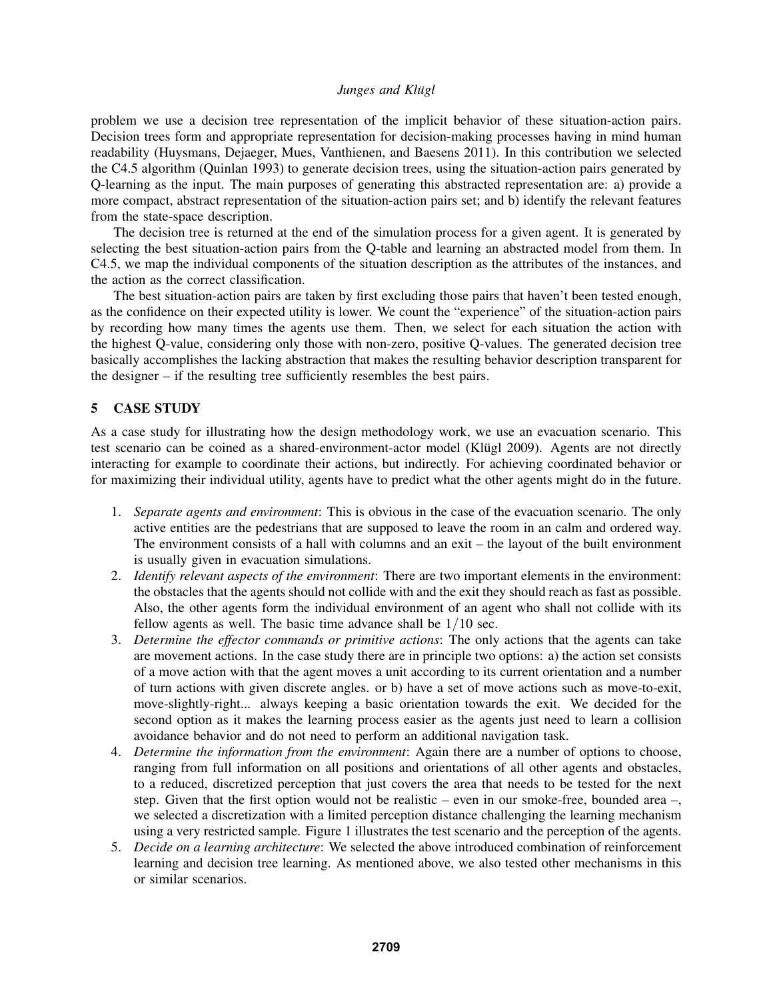problem we use a decision tree representation of the implicit behavior of these situation-action pairs. Decision trees form and appropriate representation for decision-making processes having in mind human readability (Huysmans, Dejaeger, Mues, Vanthienen, and Baesens 2011). In this contribution we selected the C4.5 algorithm (Quinlan 1993) to generate decision trees, using the situation-action pairs generated by Q-learning as the input. The main purposes of generating this abstracted representation are: a) provide a more compact, abstract representation of the situation-action pairs set; and b) identify the relevant features from the state-space description.

The decision tree is returned at the end of the simulation process for a given agent. It is generated by selecting the best situation-action pairs from the Q-table and learning an abstracted model from them. In C4.5, we map the individual components of the situation description as the attributes of the instances, and the action as the correct classification.

The best situation-action pairs are taken by first excluding those pairs that haven't been tested enough, as the confidence on their expected utility is lower. We count the "experience" of the situation-action pairs by recording how many times the agents use them. Then, we select for each situation the action with the highest Q-value, considering only those with non-zero, positive Q-values. The generated decision tree basically accomplishes the lacking abstraction that makes the resulting behavior description transparent for the designer – if the resulting tree sufficiently resembles the best pairs.

### 5 CASE STUDY

As a case study for illustrating how the design methodology work, we use an evacuation scenario. This test scenario can be coined as a shared-environment-actor model (Klügl 2009). Agents are not directly interacting for example to coordinate their actions, but indirectly. For achieving coordinated behavior or for maximizing their individual utility, agents have to predict what the other agents might do in the future.

- 1. *Separate agents and environment*: This is obvious in the case of the evacuation scenario. The only active entities are the pedestrians that are supposed to leave the room in an calm and ordered way. The environment consists of a hall with columns and an exit – the layout of the built environment is usually given in evacuation simulations.
- 2. *Identify relevant aspects of the environment*: There are two important elements in the environment: the obstacles that the agents should not collide with and the exit they should reach as fast as possible. Also, the other agents form the individual environment of an agent who shall not collide with its fellow agents as well. The basic time advance shall be 1/10 sec.
- 3. *Determine the effector commands or primitive actions*: The only actions that the agents can take are movement actions. In the case study there are in principle two options: a) the action set consists of a move action with that the agent moves a unit according to its current orientation and a number of turn actions with given discrete angles. or b) have a set of move actions such as move-to-exit, move-slightly-right... always keeping a basic orientation towards the exit. We decided for the second option as it makes the learning process easier as the agents just need to learn a collision avoidance behavior and do not need to perform an additional navigation task.
- 4. *Determine the information from the environment*: Again there are a number of options to choose, ranging from full information on all positions and orientations of all other agents and obstacles, to a reduced, discretized perception that just covers the area that needs to be tested for the next step. Given that the first option would not be realistic – even in our smoke-free, bounded area –, we selected a discretization with a limited perception distance challenging the learning mechanism using a very restricted sample. Figure 1 illustrates the test scenario and the perception of the agents.
- 5. *Decide on a learning architecture*: We selected the above introduced combination of reinforcement learning and decision tree learning. As mentioned above, we also tested other mechanisms in this or similar scenarios.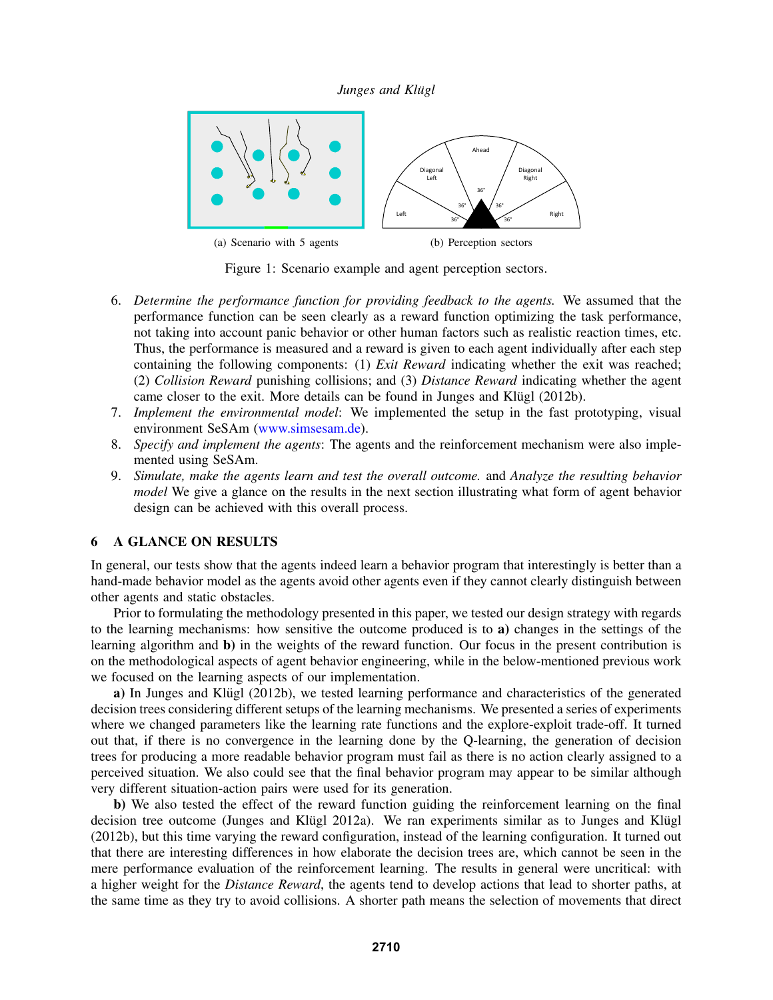

Figure 1: Scenario example and agent perception sectors.

- 6. *Determine the performance function for providing feedback to the agents.* We assumed that the performance function can be seen clearly as a reward function optimizing the task performance, not taking into account panic behavior or other human factors such as realistic reaction times, etc. Thus, the performance is measured and a reward is given to each agent individually after each step containing the following components: (1) *Exit Reward* indicating whether the exit was reached; (2) *Collision Reward* punishing collisions; and (3) *Distance Reward* indicating whether the agent came closer to the exit. More details can be found in Junges and Klügl (2012b).
- 7. *Implement the environmental model*: We implemented the setup in the fast prototyping, visual environment SeSAm (www.simsesam.de).
- 8. *Specify and implement the agents*: The agents and the reinforcement mechanism were also implemented using SeSAm.
- 9. *Simulate, make the agents learn and test the overall outcome.* and *Analyze the resulting behavior model* We give a glance on the results in the next section illustrating what form of agent behavior design can be achieved with this overall process.

# 6 A GLANCE ON RESULTS

In general, our tests show that the agents indeed learn a behavior program that interestingly is better than a hand-made behavior model as the agents avoid other agents even if they cannot clearly distinguish between other agents and static obstacles.

Prior to formulating the methodology presented in this paper, we tested our design strategy with regards to the learning mechanisms: how sensitive the outcome produced is to a) changes in the settings of the learning algorithm and b) in the weights of the reward function. Our focus in the present contribution is on the methodological aspects of agent behavior engineering, while in the below-mentioned previous work we focused on the learning aspects of our implementation.

a) In Junges and Klügl (2012b), we tested learning performance and characteristics of the generated decision trees considering different setups of the learning mechanisms. We presented a series of experiments where we changed parameters like the learning rate functions and the explore-exploit trade-off. It turned out that, if there is no convergence in the learning done by the Q-learning, the generation of decision trees for producing a more readable behavior program must fail as there is no action clearly assigned to a perceived situation. We also could see that the final behavior program may appear to be similar although very different situation-action pairs were used for its generation.

b) We also tested the effect of the reward function guiding the reinforcement learning on the final decision tree outcome (Junges and Klügl 2012a). We ran experiments similar as to Junges and Klügl (2012b), but this time varying the reward configuration, instead of the learning configuration. It turned out that there are interesting differences in how elaborate the decision trees are, which cannot be seen in the mere performance evaluation of the reinforcement learning. The results in general were uncritical: with a higher weight for the *Distance Reward*, the agents tend to develop actions that lead to shorter paths, at the same time as they try to avoid collisions. A shorter path means the selection of movements that direct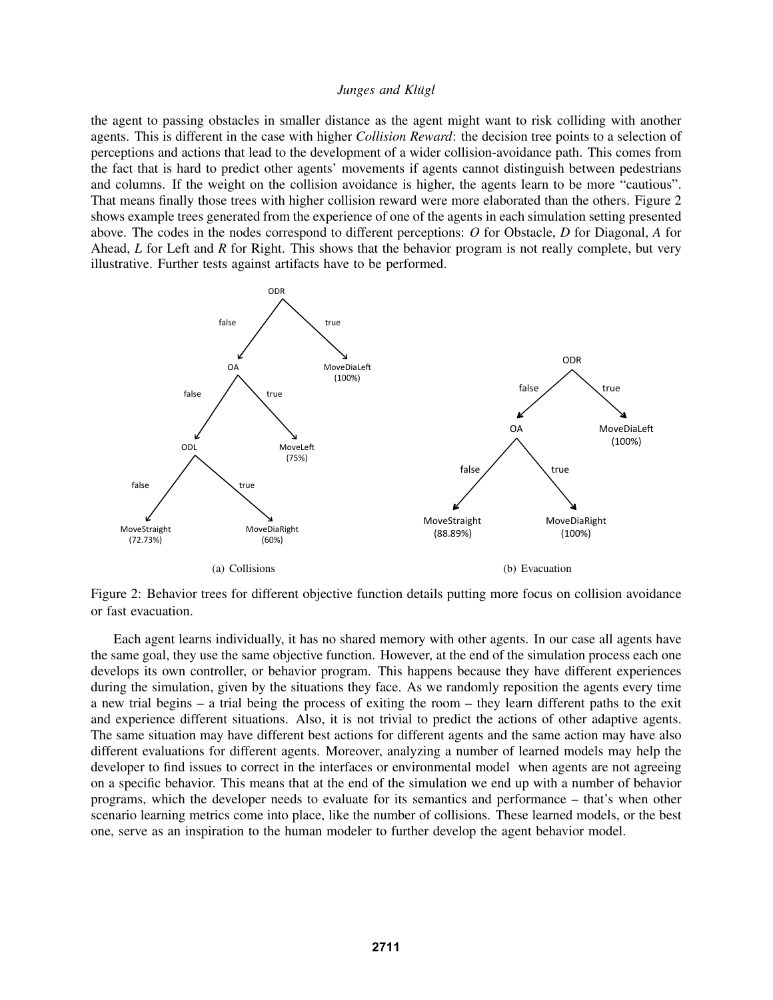the agent to passing obstacles in smaller distance as the agent might want to risk colliding with another agents. This is different in the case with higher *Collision Reward*: the decision tree points to a selection of perceptions and actions that lead to the development of a wider collision-avoidance path. This comes from the fact that is hard to predict other agents' movements if agents cannot distinguish between pedestrians and columns. If the weight on the collision avoidance is higher, the agents learn to be more "cautious". That means finally those trees with higher collision reward were more elaborated than the others. Figure 2 shows example trees generated from the experience of one of the agents in each simulation setting presented above. The codes in the nodes correspond to different perceptions: *O* for Obstacle, *D* for Diagonal, *A* for Ahead, *L* for Left and *R* for Right. This shows that the behavior program is not really complete, but very illustrative. Further tests against artifacts have to be performed.



Figure 2: Behavior trees for different objective function details putting more focus on collision avoidance or fast evacuation.

Each agent learns individually, it has no shared memory with other agents. In our case all agents have the same goal, they use the same objective function. However, at the end of the simulation process each one develops its own controller, or behavior program. This happens because they have different experiences during the simulation, given by the situations they face. As we randomly reposition the agents every time a new trial begins – a trial being the process of exiting the room – they learn different paths to the exit and experience different situations. Also, it is not trivial to predict the actions of other adaptive agents. The same situation may have different best actions for different agents and the same action may have also different evaluations for different agents. Moreover, analyzing a number of learned models may help the developer to find issues to correct in the interfaces or environmental model when agents are not agreeing on a specific behavior. This means that at the end of the simulation we end up with a number of behavior programs, which the developer needs to evaluate for its semantics and performance – that's when other scenario learning metrics come into place, like the number of collisions. These learned models, or the best one, serve as an inspiration to the human modeler to further develop the agent behavior model.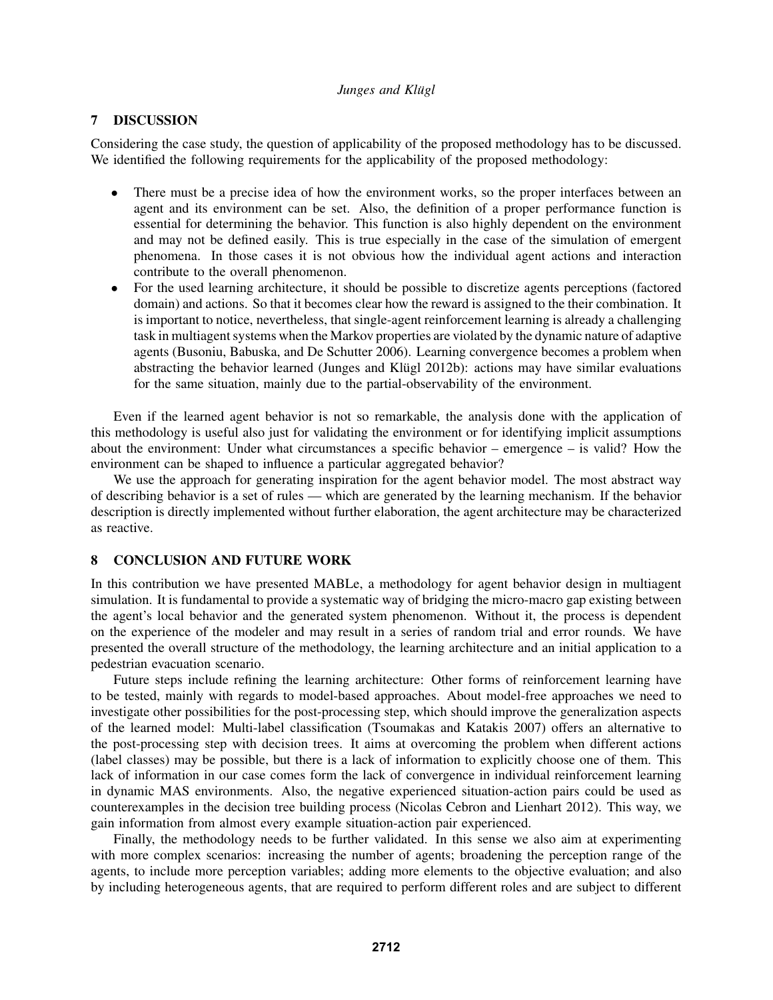## 7 DISCUSSION

Considering the case study, the question of applicability of the proposed methodology has to be discussed. We identified the following requirements for the applicability of the proposed methodology:

- There must be a precise idea of how the environment works, so the proper interfaces between an agent and its environment can be set. Also, the definition of a proper performance function is essential for determining the behavior. This function is also highly dependent on the environment and may not be defined easily. This is true especially in the case of the simulation of emergent phenomena. In those cases it is not obvious how the individual agent actions and interaction contribute to the overall phenomenon.
- For the used learning architecture, it should be possible to discretize agents perceptions (factored domain) and actions. So that it becomes clear how the reward is assigned to the their combination. It is important to notice, nevertheless, that single-agent reinforcement learning is already a challenging task in multiagent systems when the Markov properties are violated by the dynamic nature of adaptive agents (Busoniu, Babuska, and De Schutter 2006). Learning convergence becomes a problem when abstracting the behavior learned (Junges and Klügl 2012b): actions may have similar evaluations for the same situation, mainly due to the partial-observability of the environment.

Even if the learned agent behavior is not so remarkable, the analysis done with the application of this methodology is useful also just for validating the environment or for identifying implicit assumptions about the environment: Under what circumstances a specific behavior – emergence – is valid? How the environment can be shaped to influence a particular aggregated behavior?

We use the approach for generating inspiration for the agent behavior model. The most abstract way of describing behavior is a set of rules — which are generated by the learning mechanism. If the behavior description is directly implemented without further elaboration, the agent architecture may be characterized as reactive.

## 8 CONCLUSION AND FUTURE WORK

In this contribution we have presented MABLe, a methodology for agent behavior design in multiagent simulation. It is fundamental to provide a systematic way of bridging the micro-macro gap existing between the agent's local behavior and the generated system phenomenon. Without it, the process is dependent on the experience of the modeler and may result in a series of random trial and error rounds. We have presented the overall structure of the methodology, the learning architecture and an initial application to a pedestrian evacuation scenario.

Future steps include refining the learning architecture: Other forms of reinforcement learning have to be tested, mainly with regards to model-based approaches. About model-free approaches we need to investigate other possibilities for the post-processing step, which should improve the generalization aspects of the learned model: Multi-label classification (Tsoumakas and Katakis 2007) offers an alternative to the post-processing step with decision trees. It aims at overcoming the problem when different actions (label classes) may be possible, but there is a lack of information to explicitly choose one of them. This lack of information in our case comes form the lack of convergence in individual reinforcement learning in dynamic MAS environments. Also, the negative experienced situation-action pairs could be used as counterexamples in the decision tree building process (Nicolas Cebron and Lienhart 2012). This way, we gain information from almost every example situation-action pair experienced.

Finally, the methodology needs to be further validated. In this sense we also aim at experimenting with more complex scenarios: increasing the number of agents; broadening the perception range of the agents, to include more perception variables; adding more elements to the objective evaluation; and also by including heterogeneous agents, that are required to perform different roles and are subject to different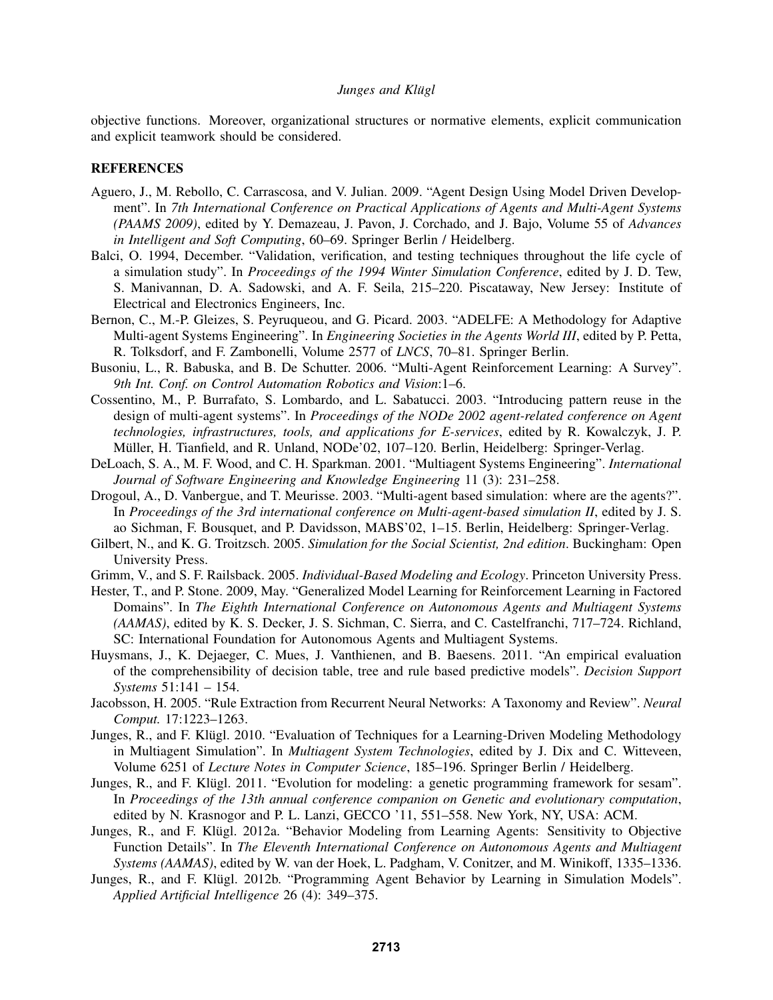objective functions. Moreover, organizational structures or normative elements, explicit communication and explicit teamwork should be considered.

## **REFERENCES**

- Aguero, J., M. Rebollo, C. Carrascosa, and V. Julian. 2009. "Agent Design Using Model Driven Development". In *7th International Conference on Practical Applications of Agents and Multi-Agent Systems (PAAMS 2009)*, edited by Y. Demazeau, J. Pavon, J. Corchado, and J. Bajo, Volume 55 of *Advances in Intelligent and Soft Computing*, 60–69. Springer Berlin / Heidelberg.
- Balci, O. 1994, December. "Validation, verification, and testing techniques throughout the life cycle of a simulation study". In *Proceedings of the 1994 Winter Simulation Conference*, edited by J. D. Tew, S. Manivannan, D. A. Sadowski, and A. F. Seila, 215–220. Piscataway, New Jersey: Institute of Electrical and Electronics Engineers, Inc.
- Bernon, C., M.-P. Gleizes, S. Peyruqueou, and G. Picard. 2003. "ADELFE: A Methodology for Adaptive Multi-agent Systems Engineering". In *Engineering Societies in the Agents World III*, edited by P. Petta, R. Tolksdorf, and F. Zambonelli, Volume 2577 of *LNCS*, 70–81. Springer Berlin.
- Busoniu, L., R. Babuska, and B. De Schutter. 2006. "Multi-Agent Reinforcement Learning: A Survey". *9th Int. Conf. on Control Automation Robotics and Vision*:1–6.
- Cossentino, M., P. Burrafato, S. Lombardo, and L. Sabatucci. 2003. "Introducing pattern reuse in the design of multi-agent systems". In *Proceedings of the NODe 2002 agent-related conference on Agent technologies, infrastructures, tools, and applications for E-services*, edited by R. Kowalczyk, J. P. Müller, H. Tianfield, and R. Unland, NODe'02, 107–120. Berlin, Heidelberg: Springer-Verlag.
- DeLoach, S. A., M. F. Wood, and C. H. Sparkman. 2001. "Multiagent Systems Engineering". *International Journal of Software Engineering and Knowledge Engineering* 11 (3): 231–258.
- Drogoul, A., D. Vanbergue, and T. Meurisse. 2003. "Multi-agent based simulation: where are the agents?". In *Proceedings of the 3rd international conference on Multi-agent-based simulation II*, edited by J. S. ao Sichman, F. Bousquet, and P. Davidsson, MABS'02, 1–15. Berlin, Heidelberg: Springer-Verlag.
- Gilbert, N., and K. G. Troitzsch. 2005. *Simulation for the Social Scientist, 2nd edition*. Buckingham: Open University Press.
- Grimm, V., and S. F. Railsback. 2005. *Individual-Based Modeling and Ecology*. Princeton University Press.
- Hester, T., and P. Stone. 2009, May. "Generalized Model Learning for Reinforcement Learning in Factored Domains". In *The Eighth International Conference on Autonomous Agents and Multiagent Systems (AAMAS)*, edited by K. S. Decker, J. S. Sichman, C. Sierra, and C. Castelfranchi, 717–724. Richland, SC: International Foundation for Autonomous Agents and Multiagent Systems.
- Huysmans, J., K. Dejaeger, C. Mues, J. Vanthienen, and B. Baesens. 2011. "An empirical evaluation of the comprehensibility of decision table, tree and rule based predictive models". *Decision Support Systems* 51:141 – 154.
- Jacobsson, H. 2005. "Rule Extraction from Recurrent Neural Networks: A Taxonomy and Review". *Neural Comput.* 17:1223–1263.
- Junges, R., and F. Klügl. 2010. "Evaluation of Techniques for a Learning-Driven Modeling Methodology in Multiagent Simulation". In *Multiagent System Technologies*, edited by J. Dix and C. Witteveen, Volume 6251 of *Lecture Notes in Computer Science*, 185–196. Springer Berlin / Heidelberg.
- Junges, R., and F. Klügl. 2011. "Evolution for modeling: a genetic programming framework for sesam". In *Proceedings of the 13th annual conference companion on Genetic and evolutionary computation*, edited by N. Krasnogor and P. L. Lanzi, GECCO '11, 551–558. New York, NY, USA: ACM.
- Junges, R., and F. Klügl. 2012a. "Behavior Modeling from Learning Agents: Sensitivity to Objective Function Details". In *The Eleventh International Conference on Autonomous Agents and Multiagent Systems (AAMAS)*, edited by W. van der Hoek, L. Padgham, V. Conitzer, and M. Winikoff, 1335–1336.
- Junges, R., and F. Klügl. 2012b. "Programming Agent Behavior by Learning in Simulation Models". *Applied Artificial Intelligence* 26 (4): 349–375.